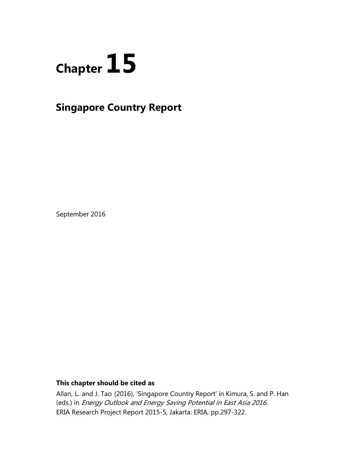

# **Singapore Country Report**

September 2016

# **This chapter should be cited as**

Allan, L. and J. Tao (2016), 'Singapore Country Report' in Kimura, S. and P. Han (eds.) in Energy Outlook and Energy Saving Potential in East Asia 2016. ERIA Research Project Report 2015-5, Jakarta: ERIA, pp.297-322.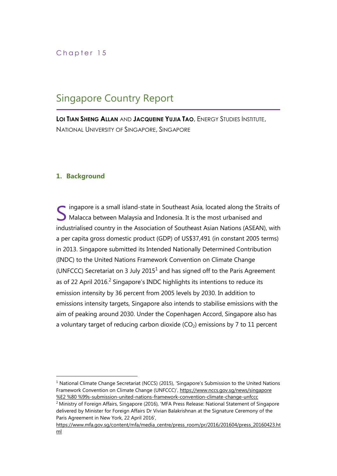# Singapore Country Report

**LOI TIAN SHENG ALLAN** AND **JACQUEINE YUJIA TAO**, ENERGY STUDIES INSTITUTE, NATIONAL UNIVERSITY OF SINGAPORE, SINGAPORE

# **1. Background**

ingapore is a small island-state in Southeast Asia, located along the Straits of SMalacca between Malaysia and Indonesia. It is the most urbanised and industrialised country in the Association of Southeast Asian Nations (ASEAN), with a per capita gross domestic product (GDP) of US\$37,491 (in constant 2005 terms) in 2013. Singapore submitted its Intended Nationally Determined Contribution (INDC) to the United Nations Framework Convention on Climate Change (UNFCCC) Secretariat on 3 July 2015<sup>1</sup> and has signed off to the Paris Agreement as of 22 April 2016.<sup>2</sup> Singapore's INDC highlights its intentions to reduce its emission intensity by 36 percent from 2005 levels by 2030. In addition to emissions intensity targets, Singapore also intends to stabilise emissions with the aim of peaking around 2030. Under the Copenhagen Accord, Singapore also has a voluntary target of reducing carbon dioxide  $(CO<sub>2</sub>)$  emissions by 7 to 11 percent

 $1$  National Climate Change Secretariat (NCCS) (2015), 'Singapore's Submission to the United Nations Framework Convention on Climate Change (UNFCCC)', [https://www.nccs.gov.sg/news/singapore](https://www.nccs.gov.sg/news/singapore%20%E2%20%80%20%99s-submission-united-nations-framework-convention-climate-change-unfccc)  [%E2 %80 %99s-submission-united-nations-framework-convention-climate-change-unfccc](https://www.nccs.gov.sg/news/singapore%20%E2%20%80%20%99s-submission-united-nations-framework-convention-climate-change-unfccc) 

<sup>&</sup>lt;sup>2</sup> Ministry of Foreign Affairs, Singapore (2016), 'MFA Press Release: National Statement of Singapore delivered by Minister for Foreign Affairs Dr Vivian Balakrishnan at the Signature Ceremony of the Paris Agreement in New York, 22 April 2016',

[https://www.mfa.gov.sg/content/mfa/media\\_centre/press\\_room/pr/2016/201604/press\\_20160423.ht](https://www.mfa.gov.sg/content/mfa/media_centre/press_room/pr/2016/201604/press_20160423.html) [ml](https://www.mfa.gov.sg/content/mfa/media_centre/press_room/pr/2016/201604/press_20160423.html)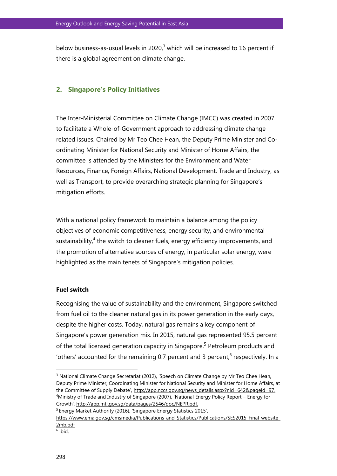below business-as-usual levels in 2020, $3$  which will be increased to 16 percent if there is a global agreement on climate change.

# **2. Singapore's Policy Initiatives**

The Inter-Ministerial Committee on Climate Change (IMCC) was created in 2007 to facilitate a Whole-of-Government approach to addressing climate change related issues. Chaired by Mr Teo Chee Hean, the Deputy Prime Minister and Coordinating Minister for National Security and Minister of Home Affairs, the committee is attended by the Ministers for the Environment and Water Resources, Finance, Foreign Affairs, National Development, Trade and Industry, as well as Transport, to provide overarching strategic planning for Singapore's mitigation efforts.

With a national policy framework to maintain a balance among the policy objectives of economic competitiveness, energy security, and environmental sustainability, $4$  the switch to cleaner fuels, energy efficiency improvements, and the promotion of alternative sources of energy, in particular solar energy, were highlighted as the main tenets of Singapore's mitigation policies.

#### **Fuel switch**

Recognising the value of sustainability and the environment, Singapore switched from fuel oil to the cleaner natural gas in its power generation in the early days, despite the higher costs. Today, natural gas remains a key component of Singapore's power generation mix. In 2015, natural gas represented 95.5 percent of the total licensed generation capacity in Singapore.<sup>5</sup> Petroleum products and 'others' accounted for the remaining 0.7 percent and 3 percent, $6$  respectively. In a

 $3$  National Climate Change Secretariat (2012), 'Speech on Climate Change by Mr Teo Chee Hean, Deputy Prime Minister, Coordinating Minister for National Security and Minister for Home Affairs, at the Committee of Supply Debate', http://app.nccs.gov.sg/news\_details.aspx?nid=642&pageid=97. <sup>4</sup>Ministry of Trade and Industry of Singapore (2007), 'National Energy Policy Report – Energy for Growth', [http://app.mti.gov.sg/data/pages/2546/doc/NEPR.pdf.](http://app.mti.gov.sg/data/pages/2546/doc/NEPR.pdf)

<sup>&</sup>lt;sup>5</sup> Energy Market Authority (2016), 'Singapore Energy Statistics 2015',

https://www.ema.gov.sg/cmsmedia/Publications\_and\_Statistics/Publications/SES2015\_Final\_website [2mb.pdf](https://www.ema.gov.sg/cmsmedia/Publications_and_Statistics/Publications/SES2015_Final_website_2mb.pdf) 

<sup>6</sup> ibid.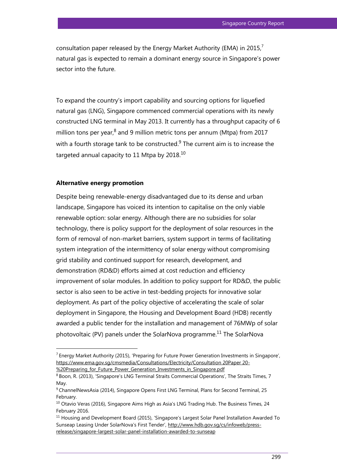consultation paper released by the Energy Market Authority (EMA) in 2015,<sup>7</sup> natural gas is expected to remain a dominant energy source in Singapore's power sector into the future.

To expand the country's import capability and sourcing options for liquefied natural gas (LNG), Singapore commenced commercial operations with its newly constructed LNG terminal in May 2013. It currently has a throughput capacity of 6 million tons per year, $^8$  and 9 million metric tons per annum (Mtpa) from 2017 with a fourth storage tank to be constructed. $9$  The current aim is to increase the targeted annual capacity to 11 Mtpa by  $2018$ .<sup>10</sup>

### **Alternative energy promotion**

l

Despite being renewable-energy disadvantaged due to its dense and urban landscape, Singapore has voiced its intention to capitalise on the only viable renewable option: solar energy. Although there are no subsidies for solar technology, there is policy support for the deployment of solar resources in the form of removal of non-market barriers, system support in terms of facilitating system integration of the intermittency of solar energy without compromising grid stability and continued support for research, development, and demonstration (RD&D) efforts aimed at cost reduction and efficiency improvement of solar modules. In addition to policy support for RD&D, the public sector is also seen to be active in test-bedding projects for innovative solar deployment. As part of the policy objective of accelerating the scale of solar deployment in Singapore, the Housing and Development Board (HDB) recently awarded a public tender for the installation and management of 76MWp of solar photovoltaic (PV) panels under the SolarNova programme.<sup>11</sup> The SolarNova

 $^7$  Energy Market Authority (2015), 'Preparing for Future Power Generation Investments in Singapore', [https://www.ema.gov.sg/cmsmedia/Consultations/Electricity/Consultation 20Paper 20-](https://www.ema.gov.sg/cmsmedia/Consultations/Electricity/Consultation%2020Paper%2020-%20%20Preparing_for_Future_Power_Generation_Investments_in_Singapore.pdf)

<sup>%20</sup>Preparing for Future Power Generation Investments in Singapore.pdf

<sup>8</sup> Boon, R. (2013), 'Singapore's LNG Terminal Straits Commercial Operations', The Straits Times, 7 May.

<sup>9</sup> ChannelNewsAsia (2014), Singapore Opens First LNG Terminal, Plans for Second Terminal, 25 February.

 $10$  Otavio Veras (2016), Singapore Aims High as Asia's LNG Trading Hub. The Business Times, 24 February 2016.

<sup>&</sup>lt;sup>11</sup> Housing and Development Board (2015), 'Singapore's Largest Solar Panel Installation Awarded To Sunseap Leasing Under SolarNova's First Tender', [http://www.hdb.gov.sg/cs/infoweb/press](http://www.hdb.gov.sg/cs/infoweb/press-release/singapore-largest-solar-panel-installation-awarded-to-sunseap)[release/singapore-largest-solar-panel-installation-awarded-to-sunseap](http://www.hdb.gov.sg/cs/infoweb/press-release/singapore-largest-solar-panel-installation-awarded-to-sunseap)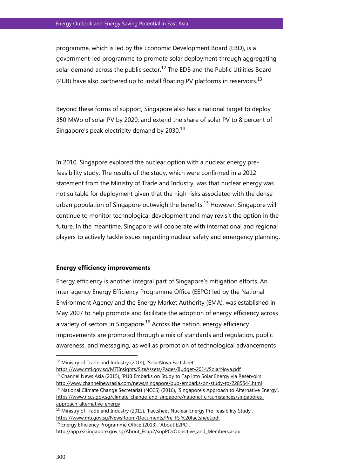programme, which is led by the Economic Development Board (EBD), is a government-led programme to promote solar deployment through aggregating solar demand across the public sector.<sup>12</sup> The EDB and the Public Utilities Board (PUB) have also partnered up to install floating PV platforms in reservoirs.<sup>13</sup>

Beyond these forms of support, Singapore also has a national target to deploy 350 MWp of solar PV by 2020, and extend the share of solar PV to 8 percent of Singapore's peak electricity demand by 2030.<sup>14</sup>

In 2010, Singapore explored the nuclear option with a nuclear energy prefeasibility study. The results of the study, which were confirmed in a 2012 statement from the Ministry of Trade and Industry, was that nuclear energy was not suitable for deployment given that the high risks associated with the dense urban population of Singapore outweigh the benefits.<sup>15</sup> However, Singapore will continue to monitor technological development and may revisit the option in the future. In the meantime, Singapore will cooperate with international and regional players to actively tackle issues regarding nuclear safety and emergency planning.

#### **Energy efficiency improvements**

Energy efficiency is another integral part of Singapore's mitigation efforts. An inter-agency Energy Efficiency Programme Office (EEPO) led by the National Environment Agency and the Energy Market Authority (EMA), was established in May 2007 to help promote and facilitate the adoption of energy efficiency across a variety of sectors in Singapore.<sup>16</sup> Across the nation, energy efficiency improvements are promoted through a mix of standards and regulation, public awareness, and messaging, as well as promotion of technological advancements

<https://www.mti.gov.sg/MTIInsights/SiteAssets/Pages/Budget-2014/SolarNova.pdf>  $<sup>13</sup>$  Channel News Asia (2015), 'PUB Embarks on Study to Tap into Solar Energy via Reservoirs',</sup> <http://www.channelnewsasia.com/news/singapore/pub-embarks-on-study-to/2285544.html>

<sup>14</sup> National Climate Change Secretariat (NCCS) (2016), 'Singapore's Approach to Alternative Energy', [https://www.nccs.gov.sg/climate-change-and-singapore/national-circumstances/singapores](https://www.nccs.gov.sg/climate-change-and-singapore/national-circumstances/singapores-approach-alternative-energy)[approach-alternative-energy](https://www.nccs.gov.sg/climate-change-and-singapore/national-circumstances/singapores-approach-alternative-energy)

<sup>&</sup>lt;sup>12</sup> Ministry of Trade and Industry (2014), 'SolarNova Factsheet',

<sup>&</sup>lt;sup>15</sup> Ministry of Trade and Industry (2012), 'Factsheet Nuclear Energy Pre-feasibility Study', [https://www.mti.gov.sg/NewsRoom/Documents/Pre-FS %20factsheet.pdf](https://www.mti.gov.sg/NewsRoom/Documents/Pre-FS%20%20factsheet.pdf) <sup>16</sup> Energy Efficiency Programme Office (2013), 'About E2PO',

[http://app.e2singapore.gov.sg/About\\_Esup2/supPO/Objective\\_and\\_Members.aspx](http://app.e2singapore.gov.sg/About_Esup2/supPO/Objective_and_Members.aspx)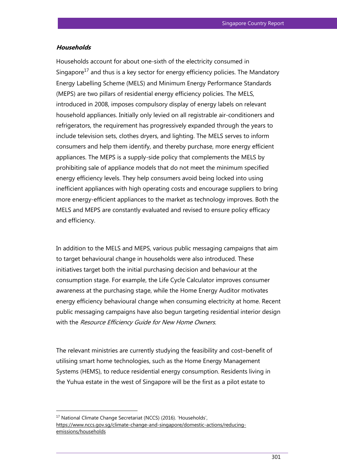#### **Households**

Households account for about one-sixth of the electricity consumed in Singapore<sup>17</sup> and thus is a key sector for energy efficiency policies. The Mandatory Energy Labelling Scheme (MELS) and Minimum Energy Performance Standards (MEPS) are two pillars of residential energy efficiency policies. The MELS, introduced in 2008, imposes compulsory display of energy labels on relevant household appliances. Initially only levied on all registrable air-conditioners and refrigerators, the requirement has progressively expanded through the years to include television sets, clothes dryers, and lighting. The MELS serves to inform consumers and help them identify, and thereby purchase, more energy efficient appliances. The MEPS is a supply-side policy that complements the MELS by prohibiting sale of appliance models that do not meet the minimum specified energy efficiency levels. They help consumers avoid being locked into using inefficient appliances with high operating costs and encourage suppliers to bring more energy-efficient appliances to the market as technology improves. Both the MELS and MEPS are constantly evaluated and revised to ensure policy efficacy and efficiency.

In addition to the MELS and MEPS, various public messaging campaigns that aim to target behavioural change in households were also introduced. These initiatives target both the initial purchasing decision and behaviour at the consumption stage. For example, the Life Cycle Calculator improves consumer awareness at the purchasing stage, while the Home Energy Auditor motivates energy efficiency behavioural change when consuming electricity at home. Recent public messaging campaigns have also begun targeting residential interior design with the Resource Efficiency Guide for New Home Owners.

The relevant ministries are currently studying the feasibility and cost–benefit of utilising smart home technologies, such as the Home Energy Management Systems (HEMS), to reduce residential energy consumption. Residents living in the Yuhua estate in the west of Singapore will be the first as a pilot estate to

<sup>17</sup> National Climate Change Secretariat (NCCS) (2016). 'Households', [https://www.nccs.gov.sg/climate-change-and-singapore/domestic-actions/reducing](https://www.nccs.gov.sg/climate-change-and-singapore/domestic-actions/reducing-emissions/households)[emissions/households](https://www.nccs.gov.sg/climate-change-and-singapore/domestic-actions/reducing-emissions/households)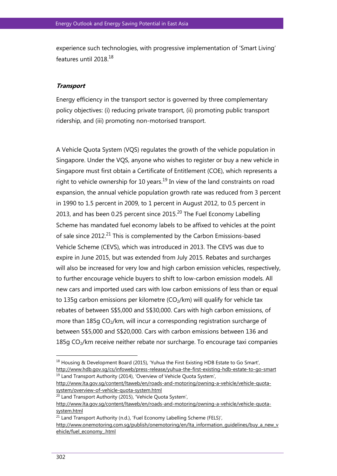experience such technologies, with progressive implementation of 'Smart Living' features until 2018.<sup>18</sup>

## **Transport**

Energy efficiency in the transport sector is governed by three complementary policy objectives: (i) reducing private transport, (ii) promoting public transport ridership, and (iii) promoting non-motorised transport.

A Vehicle Quota System (VQS) regulates the growth of the vehicle population in Singapore. Under the VQS, anyone who wishes to register or buy a new vehicle in Singapore must first obtain a Certificate of Entitlement (COE), which represents a right to vehicle ownership for 10 years.<sup>19</sup> In view of the land constraints on road expansion, the annual vehicle population growth rate was reduced from 3 percent in 1990 to 1.5 percent in 2009, to 1 percent in August 2012, to 0.5 percent in 2013, and has been 0.25 percent since 2015. $^{20}$  The Fuel Economy Labelling Scheme has mandated fuel economy labels to be affixed to vehicles at the point of sale since 2012.<sup>21</sup> This is complemented by the Carbon Emissions-based Vehicle Scheme (CEVS), which was introduced in 2013. The CEVS was due to expire in June 2015, but was extended from July 2015. Rebates and surcharges will also be increased for very low and high carbon emission vehicles, respectively, to further encourage vehicle buyers to shift to low-carbon emission models. All new cars and imported used cars with low carbon emissions of less than or equal to 135g carbon emissions per kilometre  $(CO<sub>2</sub>/km)$  will qualify for vehicle tax rebates of between S\$5,000 and S\$30,000. Cars with high carbon emissions, of more than  $185q \text{ CO}_2/km$ , will incur a corresponding registration surcharge of between S\$5,000 and S\$20,000. Cars with carbon emissions between 136 and  $185g$  CO<sub>2</sub>/km receive neither rebate nor surcharge. To encourage taxi companies

<sup>&</sup>lt;sup>18</sup> Housing & Development Board (2015), 'Yuhua the First Existing HDB Estate to Go Smart', <http://www.hdb.gov.sg/cs/infoweb/press-release/yuhua-the-first-existing-hdb-estate-to-go-smart> <sup>19</sup> Land Transport Authority (2014), 'Overview of Vehicle Quota System',

[http://www.lta.gov.sg/content/ltaweb/en/roads-and-motoring/owning-a-vehicle/vehicle-quota](http://www.lta.gov.sg/content/ltaweb/en/roads-and-motoring/owning-a-vehicle/vehicle-quota-system/overview-of-vehicle-quota-system.html)[system/overview-of-vehicle-quota-system.html](http://www.lta.gov.sg/content/ltaweb/en/roads-and-motoring/owning-a-vehicle/vehicle-quota-system/overview-of-vehicle-quota-system.html)

<sup>&</sup>lt;sup>20</sup> Land Transport Authority (2015), 'Vehicle Quota System',

[http://www.lta.gov.sg/content/ltaweb/en/roads-and-motoring/owning-a-vehicle/vehicle-quota](http://www.lta.gov.sg/content/ltaweb/en/roads-and-motoring/owning-a-vehicle/vehicle-quota-system.html)[system.html](http://www.lta.gov.sg/content/ltaweb/en/roads-and-motoring/owning-a-vehicle/vehicle-quota-system.html)

<sup>&</sup>lt;sup>21</sup> Land Transport Authority (n.d.), 'Fuel Economy Labelling Scheme (FELS)',

[http://www.onemotoring.com.sg/publish/onemotoring/en/lta\\_information\\_guidelines/buy\\_a\\_new\\_v](http://www.onemotoring.com.sg/publish/onemotoring/en/lta_information_guidelines/buy_a_new_vehicle/fuel_economy_.html) [ehicle/fuel\\_economy\\_.html](http://www.onemotoring.com.sg/publish/onemotoring/en/lta_information_guidelines/buy_a_new_vehicle/fuel_economy_.html)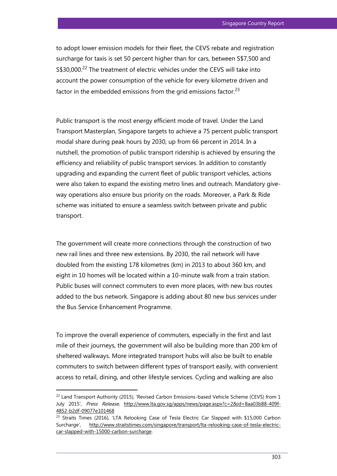to adopt lower emission models for their fleet, the CEVS rebate and registration surcharge for taxis is set 50 percent higher than for cars, between S\$7,500 and S\$30,000.<sup>22</sup> The treatment of electric vehicles under the CEVS will take into account the power consumption of the vehicle for every kilometre driven and factor in the embedded emissions from the grid emissions factor.<sup>23</sup>

Public transport is the most energy efficient mode of travel. Under the Land Transport Masterplan, Singapore targets to achieve a 75 percent public transport modal share during peak hours by 2030, up from 66 percent in 2014. In a nutshell, the promotion of public transport ridership is achieved by ensuring the efficiency and reliability of public transport services. In addition to constantly upgrading and expanding the current fleet of public transport vehicles, actions were also taken to expand the existing metro lines and outreach. Mandatory giveway operations also ensure bus priority on the roads. Moreover, a Park & Ride scheme was initiated to ensure a seamless switch between private and public transport.

The government will create more connections through the construction of two new rail lines and three new extensions. By 2030, the rail network will have doubled from the existing 178 kilometres (km) in 2013 to about 360 km, and eight in 10 homes will be located within a 10-minute walk from a train station. Public buses will connect commuters to even more places, with new bus routes added to the bus network. Singapore is adding about 80 new bus services under the Bus Service Enhancement Programme.

To improve the overall experience of commuters, especially in the first and last mile of their journeys, the government will also be building more than 200 km of sheltered walkways. More integrated transport hubs will also be built to enable commuters to switch between different types of transport easily, with convenient access to retail, dining, and other lifestyle services. Cycling and walking are also

 $^{22}$  Land Transport Authority (2015), 'Revised Carbon Emissions-based Vehicle Scheme (CEVS) from 1 July 2015', Press Release, [http://www.lta.gov.sg/apps/news/page.aspx?c=2&id=8aa03b88-409f-](http://www.lta.gov.sg/apps/news/page.aspx?c=2&id=8aa03b88-409f-4852-b2df-09077e101468)[4852-b2df-09077e101468](http://www.lta.gov.sg/apps/news/page.aspx?c=2&id=8aa03b88-409f-4852-b2df-09077e101468)

<sup>&</sup>lt;sup>23</sup> Straits Times (2016), 'LTA Relooking Case of Tesla Electric Car Slapped with \$15,000 Carbon Surcharge', [http://www.straitstimes.com/singapore/transport/lta-relooking-case-of-tesla-electric](http://www.straitstimes.com/singapore/transport/lta-relooking-case-of-tesla-electric-car-slapped-with-15000-carbon-surcharge)[car-slapped-with-15000-carbon-surcharge.](http://www.straitstimes.com/singapore/transport/lta-relooking-case-of-tesla-electric-car-slapped-with-15000-carbon-surcharge)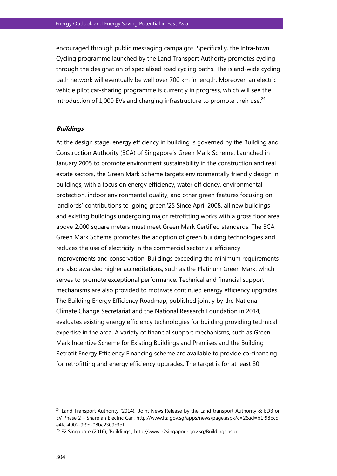encouraged through public messaging campaigns. Specifically, the Intra-town Cycling programme launched by the Land Transport Authority promotes cycling through the designation of specialised road cycling paths. The island-wide cycling path network will eventually be well over 700 km in length. Moreover, an electric vehicle pilot car-sharing programme is currently in progress, which will see the introduction of  $1,000$  EVs and charging infrastructure to promote their use.<sup>24</sup>

#### **Buildings**

At the design stage, energy efficiency in building is governed by the Building and Construction Authority (BCA) of Singapore's Green Mark Scheme. Launched in January 2005 to promote environment sustainability in the construction and real estate sectors, the Green Mark Scheme targets environmentally friendly design in buildings, with a focus on energy efficiency, water efficiency, environmental protection, indoor environmental quality, and other green features focusing on landlords' contributions to 'going green.'25 Since April 2008, all new buildings and existing buildings undergoing major retrofitting works with a gross floor area above 2,000 square meters must meet Green Mark Certified standards. The BCA Green Mark Scheme promotes the adoption of green building technologies and reduces the use of electricity in the commercial sector via efficiency improvements and conservation. Buildings exceeding the minimum requirements are also awarded higher accreditations, such as the Platinum Green Mark, which serves to promote exceptional performance. Technical and financial support mechanisms are also provided to motivate continued energy efficiency upgrades. The Building Energy Efficiency Roadmap, published jointly by the National Climate Change Secretariat and the National Research Foundation in 2014, evaluates existing energy efficiency technologies for building providing technical expertise in the area. A variety of financial support mechanisms, such as Green Mark Incentive Scheme for Existing Buildings and Premises and the Building Retrofit Energy Efficiency Financing scheme are available to provide co-financing for retrofitting and energy efficiency upgrades. The target is for at least 80

 $\overline{a}$ 

 $24$  Land Transport Authority (2014), 'Joint News Release by the Land transport Authority & EDB on EV Phase 2 – Share an Electric Car', [http://www.lta.gov.sg/apps/news/page.aspx?c=2&id=b1f98bcd](http://www.lta.gov.sg/apps/news/page.aspx?c=2&id=b1f98bcd-e4fc-4902-9f9d-08bc2309c3df)[e4fc-4902-9f9d-08bc2309c3df](http://www.lta.gov.sg/apps/news/page.aspx?c=2&id=b1f98bcd-e4fc-4902-9f9d-08bc2309c3df)

<sup>&</sup>lt;sup>25</sup> E2 Singapore (2016), 'Buildings', <http://www.e2singapore.gov.sg/Buildings.aspx>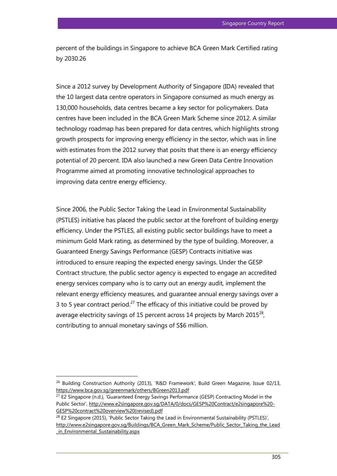percent of the buildings in Singapore to achieve BCA Green Mark Certified rating by 2030.26

Since a 2012 survey by Development Authority of Singapore (IDA) revealed that the 10 largest data centre operators in Singapore consumed as much energy as 130,000 households, data centres became a key sector for policymakers. Data centres have been included in the BCA Green Mark Scheme since 2012. A similar technology roadmap has been prepared for data centres, which highlights strong growth prospects for improving energy efficiency in the sector, which was in line with estimates from the 2012 survey that posits that there is an energy efficiency potential of 20 percent. IDA also launched a new Green Data Centre Innovation Programme aimed at promoting innovative technological approaches to improving data centre energy efficiency.

Since 2006, the Public Sector Taking the Lead in Environmental Sustainability (PSTLES) initiative has placed the public sector at the forefront of building energy efficiency. Under the PSTLES, all existing public sector buildings have to meet a minimum Gold Mark rating, as determined by the type of building. Moreover, a Guaranteed Energy Savings Performance (GESP) Contracts initiative was introduced to ensure reaping the expected energy savings. Under the GESP Contract structure, the public sector agency is expected to engage an accredited energy services company who is to carry out an energy audit, implement the relevant energy efficiency measures, and guarantee annual energy savings over a 3 to 5 year contract period.<sup>27</sup> The efficacy of this initiative could be proved by average electricity savings of 15 percent across 14 projects by March 2015 $^{28}$ , contributing to annual monetary savings of S\$6 million.

 $26$  Building Construction Authority (2013), 'R&D Framework', Build Green Magazine, Issue 02/13, <https://www.bca.gov.sg/greenmark/others/BGreen2013.pdf>

 $27$  E2 Singapore (n.d.), 'Guaranteed Energy Savings Performance (GESP) Contracting Model in the Public Sector', [http://www.e2singapore.gov.sg/DATA/0/docs/GESP%20Contract/e2singapore%20-](http://www.e2singapore.gov.sg/DATA/0/docs/GESP%20Contract/e2singapore%20-GESP%20contract%20overview%20(revised).pdf) [GESP%20contract%20overview%20\(revised\).pdf](http://www.e2singapore.gov.sg/DATA/0/docs/GESP%20Contract/e2singapore%20-GESP%20contract%20overview%20(revised).pdf)

<sup>&</sup>lt;sup>28</sup> E2 Singapore (2015), 'Public Sector Taking the Lead in Environmental Sustainability (PSTLES)', [http://www.e2singapore.gov.sg/Buildings/BCA\\_Green\\_Mark\\_Scheme/Public\\_Sector\\_Taking\\_the\\_Lead](http://www.e2singapore.gov.sg/Buildings/BCA_Green_Mark_Scheme/Public_Sector_Taking_the_Lead_in_Environmental_Sustainability.aspx) in Environmental Sustainability.aspx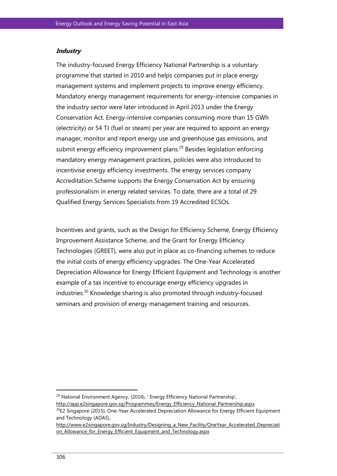#### **Industry**

The industry-focused Energy Efficiency National Partnership is a voluntary programme that started in 2010 and helps companies put in place energy management systems and implement projects to improve energy efficiency. Mandatory energy management requirements for energy-intensive companies in the industry sector were later introduced in April 2013 under the Energy Conservation Act. Energy-intensive companies consuming more than 15 GWh (electricity) or 54 TJ (fuel or steam) per year are required to appoint an energy manager, monitor and report energy use and greenhouse gas emissions, and submit energy efficiency improvement plans.<sup>29</sup> Besides legislation enforcing mandatory energy management practices, policies were also introduced to incentivise energy efficiency investments. The energy services company Accreditation Scheme supports the Energy Conservation Act by ensuring professionalism in energy related services. To date, there are a total of 29 Qualified Energy Services Specialists from 19 Accredited ECSOs.

Incentives and grants, such as the Design for Efficiency Scheme, Energy Efficiency Improvement Assistance Scheme, and the Grant for Energy Efficiency Technologies (GREET), were also put in place as co-financing schemes to reduce the initial costs of energy efficiency upgrades. The One-Year Accelerated Depreciation Allowance for Energy Efficient Equipment and Technology is another example of a tax incentive to encourage energy efficiency upgrades in industries.<sup>30</sup> Knowledge sharing is also promoted through industry-focused seminars and provision of energy management training and resources.

<sup>&</sup>lt;sup>29</sup> National Environment Agency, (2014), ' Energy Efficiency National Partnership',

[http://app.e2singapore.gov.sg/Programmes/Energy\\_Efficiency\\_National\\_Partnership.aspx](http://app.e2singapore.gov.sg/Programmes/Energy_Efficiency_National_Partnership.aspx)

<sup>&</sup>lt;sup>30</sup>E2 Singapore (2015), One-Year Accelerated Depreciation Allowance for Energy Efficient Equipment and Technology (ADAS),

[http://www.e2singapore.gov.sg/Industry/Designing\\_a\\_New\\_Facility/OneYear\\_Accelerated\\_Depreciati](http://www.e2singapore.gov.sg/Industry/Designing_a_New_Facility/OneYear_Accelerated_Depreciation_Allowance_for_Energy_Efficient_Equipment_and_Technology.aspx) on Allowance for Energy Efficient Equipment and Technology.aspx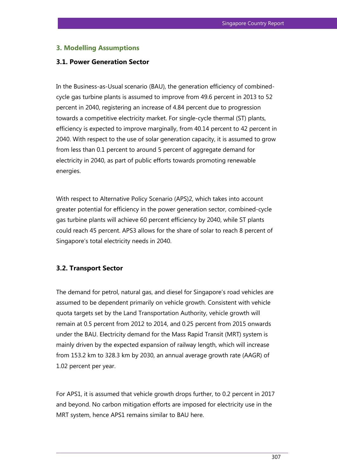# **3. Modelling Assumptions**

## **3.1. Power Generation Sector**

In the Business-as-Usual scenario (BAU), the generation efficiency of combinedcycle gas turbine plants is assumed to improve from 49.6 percent in 2013 to 52 percent in 2040, registering an increase of 4.84 percent due to progression towards a competitive electricity market. For single-cycle thermal (ST) plants, efficiency is expected to improve marginally, from 40.14 percent to 42 percent in 2040. With respect to the use of solar generation capacity, it is assumed to grow from less than 0.1 percent to around 5 percent of aggregate demand for electricity in 2040, as part of public efforts towards promoting renewable energies.

With respect to Alternative Policy Scenario (APS)2, which takes into account greater potential for efficiency in the power generation sector, combined-cycle gas turbine plants will achieve 60 percent efficiency by 2040, while ST plants could reach 45 percent. APS3 allows for the share of solar to reach 8 percent of Singapore's total electricity needs in 2040.

#### **3.2. Transport Sector**

The demand for petrol, natural gas, and diesel for Singapore's road vehicles are assumed to be dependent primarily on vehicle growth. Consistent with vehicle quota targets set by the Land Transportation Authority, vehicle growth will remain at 0.5 percent from 2012 to 2014, and 0.25 percent from 2015 onwards under the BAU. Electricity demand for the Mass Rapid Transit (MRT) system is mainly driven by the expected expansion of railway length, which will increase from 153.2 km to 328.3 km by 2030, an annual average growth rate (AAGR) of 1.02 percent per year.

For APS1, it is assumed that vehicle growth drops further, to 0.2 percent in 2017 and beyond. No carbon mitigation efforts are imposed for electricity use in the MRT system, hence APS1 remains similar to BAU here.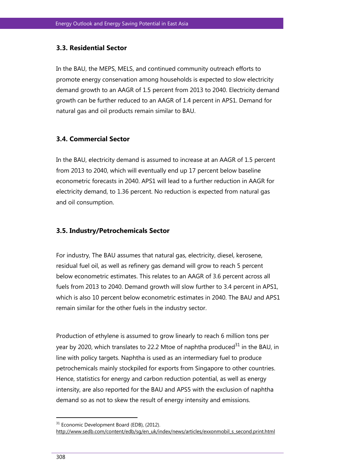# **3.3. Residential Sector**

In the BAU, the MEPS, MELS, and continued community outreach efforts to promote energy conservation among households is expected to slow electricity demand growth to an AAGR of 1.5 percent from 2013 to 2040. Electricity demand growth can be further reduced to an AAGR of 1.4 percent in APS1. Demand for natural gas and oil products remain similar to BAU.

# **3.4. Commercial Sector**

In the BAU, electricity demand is assumed to increase at an AAGR of 1.5 percent from 2013 to 2040, which will eventually end up 17 percent below baseline econometric forecasts in 2040. APS1 will lead to a further reduction in AAGR for electricity demand, to 1.36 percent. No reduction is expected from natural gas and oil consumption.

# **3.5. Industry/Petrochemicals Sector**

For industry, The BAU assumes that natural gas, electricity, diesel, kerosene, residual fuel oil, as well as refinery gas demand will grow to reach 5 percent below econometric estimates. This relates to an AAGR of 3.6 percent across all fuels from 2013 to 2040. Demand growth will slow further to 3.4 percent in APS1, which is also 10 percent below econometric estimates in 2040. The BAU and APS1 remain similar for the other fuels in the industry sector.

Production of ethylene is assumed to grow linearly to reach 6 million tons per year by 2020, which translates to 22.2 Mtoe of naphtha produced<sup>31</sup> in the BAU, in line with policy targets. Naphtha is used as an intermediary fuel to produce petrochemicals mainly stockpiled for exports from Singapore to other countries. Hence, statistics for energy and carbon reduction potential, as well as energy intensity, are also reported for the BAU and APS5 with the exclusion of naphtha demand so as not to skew the result of energy intensity and emissions.

 $\overline{a}$ 

<sup>&</sup>lt;sup>31</sup> Economic Development Board (EDB), (2012).

http://www.sedb.com/content/edb/sq/en\_uk/index/news/articles/exxonmobil\_s\_second.print.html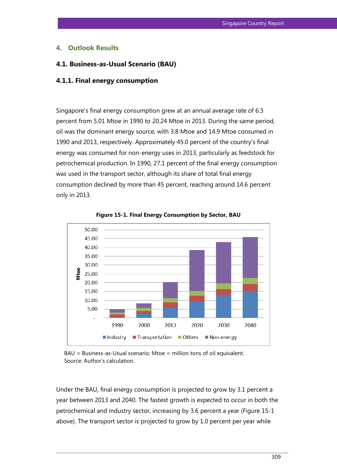## **4. Outlook Results**

### **4.1. Business-as-Usual Scenario (BAU)**

#### **4.1.1. Final energy consumption**

Singapore's final energy consumption grew at an annual average rate of 6.3 percent from 5.01 Mtoe in 1990 to 20.24 Mtoe in 2013. During the same period, oil was the dominant energy source, with 3.8 Mtoe and 14.9 Mtoe consumed in 1990 and 2013, respectively. Approximately 45.0 percent of the country's final energy was consumed for non-energy uses in 2013, particularly as feedstock for petrochemical production. In 1990, 27.1 percent of the final energy consumption was used in the transport sector, although its share of total final energy consumption declined by more than 45 percent, reaching around 14.6 percent only in 2013.



**Figure 15-1. Final Energy Consumption by Sector, BAU**

BAU = Business-as-Usual scenario; Mtoe = million tons of oil equivalent. Source: Author's calculation.

Under the BAU, final energy consumption is projected to grow by 3.1 percent a year between 2013 and 2040. The fastest growth is expected to occur in both the petrochemical and industry sector, increasing by 3.6 percent a year (Figure 15-1 above). The transport sector is projected to grow by 1.0 percent per year while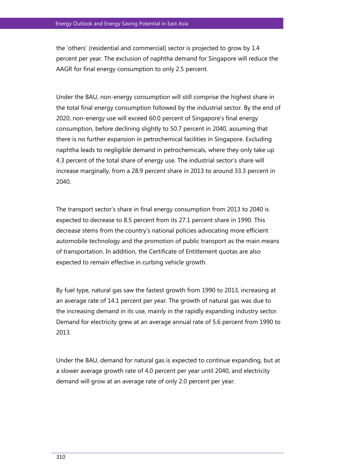the 'others' (residential and commercial) sector is projected to grow by 1.4 percent per year. The exclusion of naphtha demand for Singapore will reduce the AAGR for final energy consumption to only 2.5 percent.

Under the BAU, non-energy consumption will still comprise the highest share in the total final energy consumption followed by the industrial sector. By the end of 2020, non-energy use will exceed 60.0 percent of Singapore's final energy consumption, before declining slightly to 50.7 percent in 2040, assuming that there is no further expansion in petrochemical facilities in Singapore. Excluding naphtha leads to negligible demand in petrochemicals, where they only take up 4.3 percent of the total share of energy use. The industrial sector's share will increase marginally, from a 28.9 percent share in 2013 to around 33.3 percent in 2040.

The transport sector's share in final energy consumption from 2013 to 2040 is expected to decrease to 8.5 percent from its 27.1 percent share in 1990. This decrease stems from the country's national policies advocating more efficient automobile technology and the promotion of public transport as the main means of transportation. In addition, the Certificate of Entitlement quotas are also expected to remain effective in curbing vehicle growth.

By fuel type, natural gas saw the fastest growth from 1990 to 2013, increasing at an average rate of 14.1 percent per year. The growth of natural gas was due to the increasing demand in its use, mainly in the rapidly expanding industry sector. Demand for electricity grew at an average annual rate of 5.6 percent from 1990 to 2013.

Under the BAU, demand for natural gas is expected to continue expanding, but at a slower average growth rate of 4.0 percent per year until 2040, and electricity demand will grow at an average rate of only 2.0 percent per year.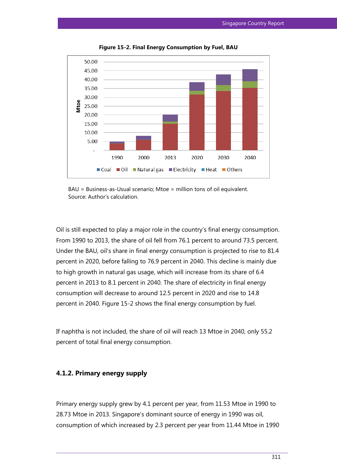

**Figure 15-2. Final Energy Consumption by Fuel, BAU**

BAU = Business-as-Usual scenario; Mtoe = million tons of oil equivalent. Source: Author's calculation.

Oil is still expected to play a major role in the country's final energy consumption. From 1990 to 2013, the share of oil fell from 76.1 percent to around 73.5 percent. Under the BAU, oil's share in final energy consumption is projected to rise to 81.4 percent in 2020, before falling to 76.9 percent in 2040. This decline is mainly due to high growth in natural gas usage, which will increase from its share of 6.4 percent in 2013 to 8.1 percent in 2040. The share of electricity in final energy consumption will decrease to around 12.5 percent in 2020 and rise to 14.8 percent in 2040. Figure 15-2 shows the final energy consumption by fuel.

If naphtha is not included, the share of oil will reach 13 Mtoe in 2040, only 55.2 percent of total final energy consumption.

# **4.1.2. Primary energy supply**

Primary energy supply grew by 4.1 percent per year, from 11.53 Mtoe in 1990 to 28.73 Mtoe in 2013. Singapore's dominant source of energy in 1990 was oil, consumption of which increased by 2.3 percent per year from 11.44 Mtoe in 1990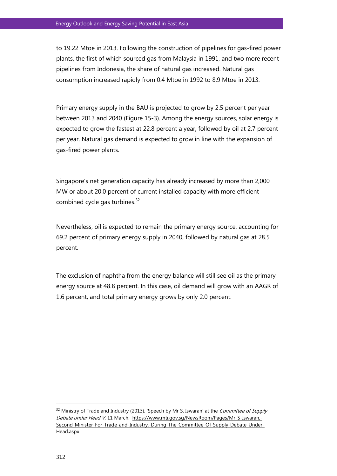to 19.22 Mtoe in 2013. Following the construction of pipelines for gas-fired power plants, the first of which sourced gas from Malaysia in 1991, and two more recent pipelines from Indonesia, the share of natural gas increased. Natural gas consumption increased rapidly from 0.4 Mtoe in 1992 to 8.9 Mtoe in 2013.

Primary energy supply in the BAU is projected to grow by 2.5 percent per year between 2013 and 2040 (Figure 15-3). Among the energy sources, solar energy is expected to grow the fastest at 22.8 percent a year, followed by oil at 2.7 percent per year. Natural gas demand is expected to grow in line with the expansion of gas-fired power plants.

Singapore's net generation capacity has already increased by more than 2,000 MW or about 20.0 percent of current installed capacity with more efficient combined cycle gas turbines.<sup>32</sup>

Nevertheless, oil is expected to remain the primary energy source, accounting for 69.2 percent of primary energy supply in 2040, followed by natural gas at 28.5 percent.

The exclusion of naphtha from the energy balance will still see oil as the primary energy source at 48.8 percent. In this case, oil demand will grow with an AAGR of 1.6 percent, and total primary energy grows by only 2.0 percent.

 $\overline{a}$ 

<sup>&</sup>lt;sup>32</sup> Ministry of Trade and Industry (2013). 'Speech by Mr S. Iswaran' at the *Committee of Supply* Debate under Head V, 11 March. [https://www.mti.gov.sg/NewsRoom/Pages/Mr-S-Iswaran,-](https://www.mti.gov.sg/NewsRoom/Pages/Mr-S-Iswaran,-Second-Minister-For-Trade-and-Industry,-During-The-Committee-Of-Supply-Debate-Under-Head.aspx) [Second-Minister-For-Trade-and-Industry,-During-The-Committee-Of-Supply-Debate-Under-](https://www.mti.gov.sg/NewsRoom/Pages/Mr-S-Iswaran,-Second-Minister-For-Trade-and-Industry,-During-The-Committee-Of-Supply-Debate-Under-Head.aspx)[Head.aspx](https://www.mti.gov.sg/NewsRoom/Pages/Mr-S-Iswaran,-Second-Minister-For-Trade-and-Industry,-During-The-Committee-Of-Supply-Debate-Under-Head.aspx)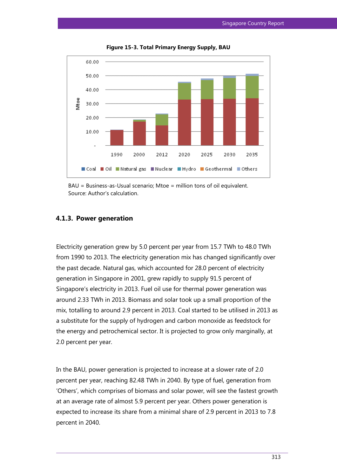

**Figure 15-3. Total Primary Energy Supply, BAU**

## **4.1.3. Power generation**

Electricity generation grew by 5.0 percent per year from 15.7 TWh to 48.0 TWh from 1990 to 2013. The electricity generation mix has changed significantly over the past decade. Natural gas, which accounted for 28.0 percent of electricity generation in Singapore in 2001, grew rapidly to supply 91.5 percent of Singapore's electricity in 2013. Fuel oil use for thermal power generation was around 2.33 TWh in 2013. Biomass and solar took up a small proportion of the mix, totalling to around 2.9 percent in 2013. Coal started to be utilised in 2013 as a substitute for the supply of hydrogen and carbon monoxide as feedstock for the energy and petrochemical sector. It is projected to grow only marginally, at 2.0 percent per year.

In the BAU, power generation is projected to increase at a slower rate of 2.0 percent per year, reaching 82.48 TWh in 2040. By type of fuel, generation from 'Others', which comprises of biomass and solar power, will see the fastest growth at an average rate of almost 5.9 percent per year. Others power generation is expected to increase its share from a minimal share of 2.9 percent in 2013 to 7.8 percent in 2040.

BAU = Business-as-Usual scenario; Mtoe = million tons of oil equivalent. Source: Author's calculation.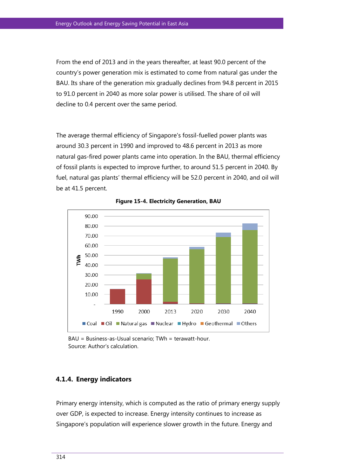From the end of 2013 and in the years thereafter, at least 90.0 percent of the country's power generation mix is estimated to come from natural gas under the BAU. Its share of the generation mix gradually declines from 94.8 percent in 2015 to 91.0 percent in 2040 as more solar power is utilised. The share of oil will decline to 0.4 percent over the same period.

The average thermal efficiency of Singapore's fossil-fuelled power plants was around 30.3 percent in 1990 and improved to 48.6 percent in 2013 as more natural gas-fired power plants came into operation. In the BAU, thermal efficiency of fossil plants is expected to improve further, to around 51.5 percent in 2040. By fuel, natural gas plants' thermal efficiency will be 52.0 percent in 2040, and oil will be at 41.5 percent.



**Figure 15-4. Electricity Generation, BAU**

 $BAU = Business-Usual scenario: TWh = terawatt-hour.$ Source: Author's calculation.

# **4.1.4. Energy indicators**

Primary energy intensity, which is computed as the ratio of primary energy supply over GDP, is expected to increase. Energy intensity continues to increase as Singapore's population will experience slower growth in the future. Energy and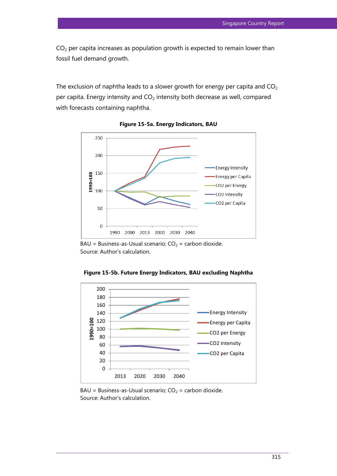$CO<sub>2</sub>$  per capita increases as population growth is expected to remain lower than fossil fuel demand growth.

The exclusion of naphtha leads to a slower growth for energy per capita and  $CO<sub>2</sub>$ per capita. Energy intensity and  $CO<sub>2</sub>$  intensity both decrease as well, compared with forecasts containing naphtha.



**Figure 15-5a. Energy Indicators, BAU**

 $BAU = Business-Usual scenario; CO<sub>2</sub> = carbon dioxide.$ Source: Author's calculation.



**Figure 15-5b. Future Energy Indicators, BAU excluding Naphtha**

 $BAU = Business-Usual scenario; CO<sub>2</sub> = carbon dioxide.$ Source: Author's calculation.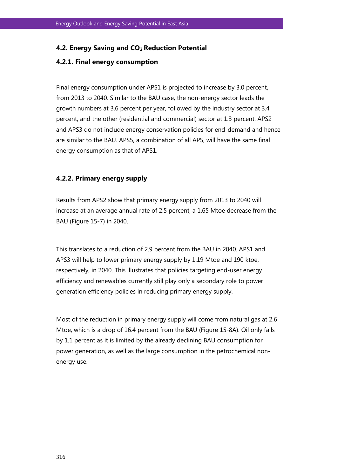# **4.2. Energy Saving and CO2 Reduction Potential**

# **4.2.1. Final energy consumption**

Final energy consumption under APS1 is projected to increase by 3.0 percent, from 2013 to 2040. Similar to the BAU case, the non-energy sector leads the growth numbers at 3.6 percent per year, followed by the industry sector at 3.4 percent, and the other (residential and commercial) sector at 1.3 percent. APS2 and APS3 do not include energy conservation policies for end-demand and hence are similar to the BAU. APS5, a combination of all APS, will have the same final energy consumption as that of APS1.

# **4.2.2. Primary energy supply**

Results from APS2 show that primary energy supply from 2013 to 2040 will increase at an average annual rate of 2.5 percent, a 1.65 Mtoe decrease from the BAU (Figure 15-7) in 2040.

This translates to a reduction of 2.9 percent from the BAU in 2040. APS1 and APS3 will help to lower primary energy supply by 1.19 Mtoe and 190 ktoe, respectively, in 2040. This illustrates that policies targeting end-user energy efficiency and renewables currently still play only a secondary role to power generation efficiency policies in reducing primary energy supply.

Most of the reduction in primary energy supply will come from natural gas at 2.6 Mtoe, which is a drop of 16.4 percent from the BAU (Figure 15-8A). Oil only falls by 1.1 percent as it is limited by the already declining BAU consumption for power generation, as well as the large consumption in the petrochemical nonenergy use.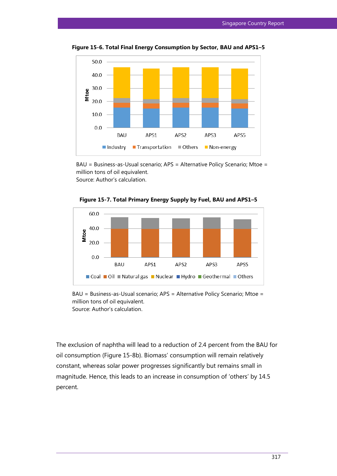

**Figure 15-6. Total Final Energy Consumption by Sector, BAU and APS1–5**

BAU = Business-as-Usual scenario; APS = Alternative Policy Scenario; Mtoe = million tons of oil equivalent.

Source: Author's calculation.





BAU = Business-as-Usual scenario; APS = Alternative Policy Scenario; Mtoe = million tons of oil equivalent. Source: Author's calculation.

The exclusion of naphtha will lead to a reduction of 2.4 percent from the BAU for oil consumption (Figure 15-8b). Biomass' consumption will remain relatively constant, whereas solar power progresses significantly but remains small in magnitude. Hence, this leads to an increase in consumption of 'others' by 14.5 percent.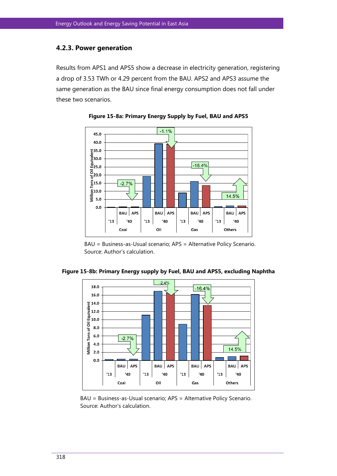# **4.2.3. Power generation**

Results from APS1 and APS5 show a decrease in electricity generation, registering a drop of 3.53 TWh or 4.29 percent from the BAU. APS2 and APS3 assume the same generation as the BAU since final energy consumption does not fall under these two scenarios.



**Figure 15-8a: Primary Energy Supply by Fuel, BAU and APS5**

BAU = Business-as-Usual scenario; APS = Alternative Policy Scenario. Source: Author's calculation.



**Figure 15-8b: Primary Energy supply by Fuel, BAU and APS5, excluding Naphtha**

BAU = Business-as-Usual scenario; APS = Alternative Policy Scenario. Source: Author's calculation.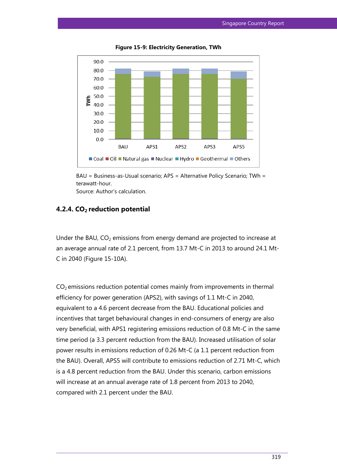

**Figure 15-9: Electricity Generation, TWh**



# **4.2.4. CO2 reduction potential**

Under the BAU,  $CO<sub>2</sub>$  emissions from energy demand are projected to increase at an average annual rate of 2.1 percent, from 13.7 Mt-C in 2013 to around 24.1 Mt-C in 2040 (Figure 15-10A).

 $CO<sub>2</sub>$  emissions reduction potential comes mainly from improvements in thermal efficiency for power generation (APS2), with savings of 1.1 Mt-C in 2040, equivalent to a 4.6 percent decrease from the BAU. Educational policies and incentives that target behavioural changes in end-consumers of energy are also very beneficial, with APS1 registering emissions reduction of 0.8 Mt-C in the same time period (a 3.3 percent reduction from the BAU). Increased utilisation of solar power results in emissions reduction of 0.26 Mt-C (a 1.1 percent reduction from the BAU). Overall, APS5 will contribute to emissions reduction of 2.71 Mt-C, which is a 4.8 percent reduction from the BAU. Under this scenario, carbon emissions will increase at an annual average rate of 1.8 percent from 2013 to 2040, compared with 2.1 percent under the BAU.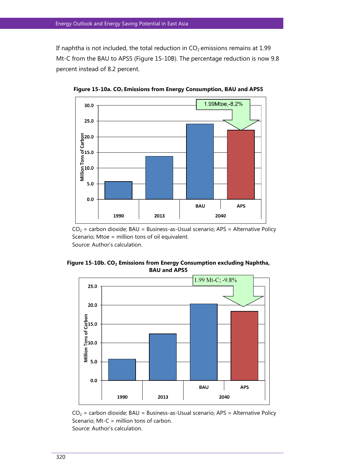If naphtha is not included, the total reduction in  $CO<sub>2</sub>$  emissions remains at 1.99 Mt-C from the BAU to APS5 (Figure 15-10B). The percentage reduction is now 9.8 percent instead of 8.2 percent.



**Figure 15-10a. CO<sup>2</sup> Emissions from Energy Consumption, BAU and APS5**

 $CO<sub>2</sub>$  = carbon dioxide; BAU = Business-as-Usual scenario; APS = Alternative Policy Scenario; Mtoe = million tons of oil equivalent. Source: Author's calculation.

**Figure 15-10b. CO<sup>2</sup> Emissions from Energy Consumption excluding Naphtha, BAU and APS5**



 $CO<sub>2</sub>$  = carbon dioxide; BAU = Business-as-Usual scenario; APS = Alternative Policy Scenario; Mt-C = million tons of carbon. Source: Author's calculation.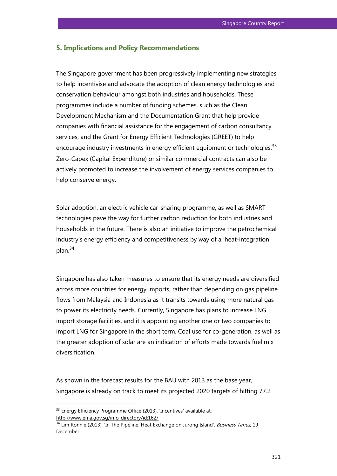## **5. Implications and Policy Recommendations**

The Singapore government has been progressively implementing new strategies to help incentivise and advocate the adoption of clean energy technologies and conservation behaviour amongst both industries and households. These programmes include a number of funding schemes, such as the Clean Development Mechanism and the Documentation Grant that help provide companies with financial assistance for the engagement of carbon consultancy services, and the Grant for Energy Efficient Technologies (GREET) to help encourage industry investments in energy efficient equipment or technologies.<sup>33</sup> Zero-Capex (Capital Expenditure) or similar commercial contracts can also be actively promoted to increase the involvement of energy services companies to help conserve energy.

Solar adoption, an electric vehicle car-sharing programme, as well as SMART technologies pave the way for further carbon reduction for both industries and households in the future. There is also an initiative to improve the petrochemical industry's energy efficiency and competitiveness by way of a 'heat-integration' plan.<sup>34</sup>

Singapore has also taken measures to ensure that its energy needs are diversified across more countries for energy imports, rather than depending on gas pipeline flows from Malaysia and Indonesia as it transits towards using more natural gas to power its electricity needs. Currently, Singapore has plans to increase LNG import storage facilities, and it is appointing another one or two companies to import LNG for Singapore in the short term. Coal use for co-generation, as well as the greater adoption of solar are an indication of efforts made towards fuel mix diversification.

As shown in the forecast results for the BAU with 2013 as the base year, Singapore is already on track to meet its projected 2020 targets of hitting 77.2

 $\overline{a}$ 

<sup>&</sup>lt;sup>33</sup> Energy Efficiency Programme Office (2013), 'Incentives' available at: http://www.ema.gov.sg/info\_directory/id:162/

 $34$  Lim Ronnie (2013), 'In The Pipeline: Heat Exchange on Jurong Island', *Business Times*, 19 December.